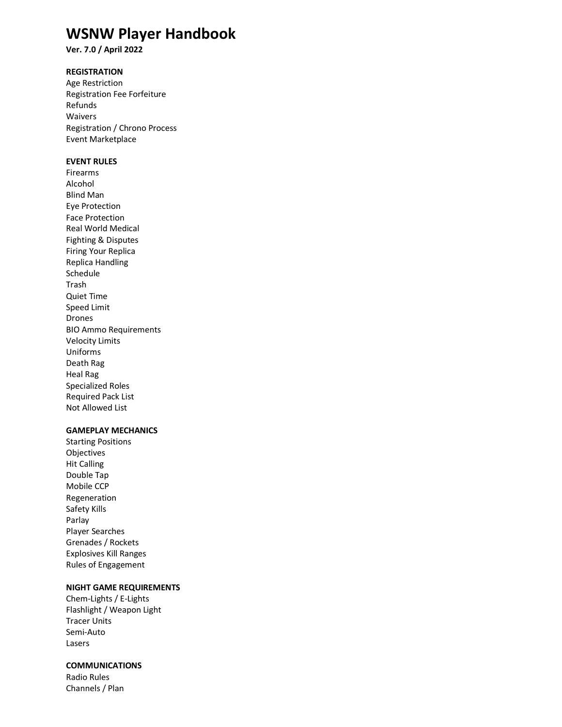# **WSNW Player Handbook**

**Ver. 7.0 / April 2022**

# **REGISTRATION**

Age Restriction Registration Fee Forfeiture Refunds Waivers Registration / Chrono Process Event Marketplace

# **EVENT RULES**

Firearms Alcohol Blind Man Eye Protection Face Protection Real World Medical Fighting & Disputes Firing Your Replica Replica Handling Schedule Trash Quiet Time Speed Limit Drones BIO Ammo Requirements Velocity Limits Uniforms Death Rag Heal Rag Specialized Roles Required Pack List Not Allowed List

# **GAMEPLAY MECHANICS**

Starting Positions Objectives Hit Calling Double Tap Mobile CCP Regeneration Safety Kills Parlay Player Searches Grenades / Rockets Explosives Kill Ranges Rules of Engagement

## **NIGHT GAME REQUIREMENTS**

Chem-Lights / E-Lights Flashlight / Weapon Light Tracer Units Semi-Auto Lasers

### **COMMUNICATIONS**

Radio Rules Channels / Plan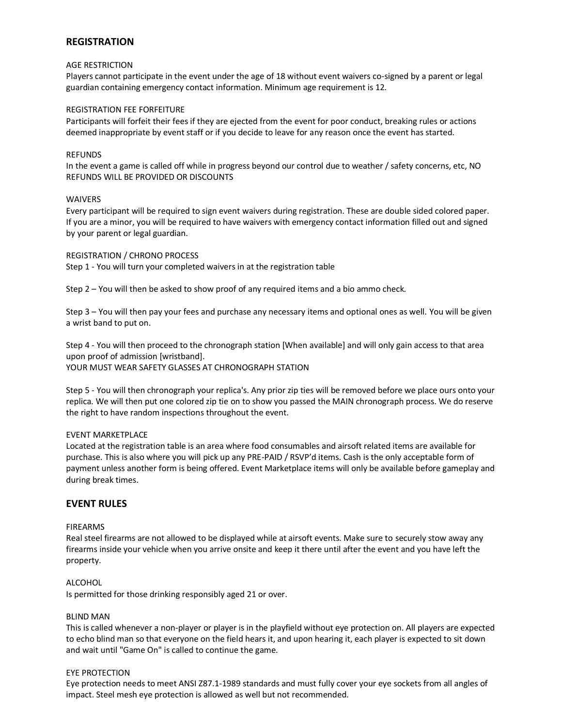# **REGISTRATION**

### AGE RESTRICTION

Players cannot participate in the event under the age of 18 without event waivers co-signed by a parent or legal guardian containing emergency contact information. Minimum age requirement is 12.

#### REGISTRATION FEE FORFEITURE

Participants will forfeit their fees if they are ejected from the event for poor conduct, breaking rules or actions deemed inappropriate by event staff or if you decide to leave for any reason once the event has started.

#### REFUNDS

In the event a game is called off while in progress beyond our control due to weather / safety concerns, etc, NO REFUNDS WILL BE PROVIDED OR DISCOUNTS

#### WAIVERS

Every participant will be required to sign event waivers during registration. These are double sided colored paper. If you are a minor, you will be required to have waivers with emergency contact information filled out and signed by your parent or legal guardian.

#### REGISTRATION / CHRONO PROCESS

Step 1 - You will turn your completed waivers in at the registration table

Step 2 – You will then be asked to show proof of any required items and a bio ammo check.

Step 3 – You will then pay your fees and purchase any necessary items and optional ones as well. You will be given a wrist band to put on.

Step 4 - You will then proceed to the chronograph station [When available] and will only gain access to that area upon proof of admission [wristband]. YOUR MUST WEAR SAFETY GLASSES AT CHRONOGRAPH STATION

Step 5 - You will then chronograph your replica's. Any prior zip ties will be removed before we place ours onto your replica. We will then put one colored zip tie on to show you passed the MAIN chronograph process. We do reserve the right to have random inspections throughout the event.

### EVENT MARKETPLACE

Located at the registration table is an area where food consumables and airsoft related items are available for purchase. This is also where you will pick up any PRE-PAID / RSVP'd items. Cash is the only acceptable form of payment unless another form is being offered. Event Marketplace items will only be available before gameplay and during break times.

### **EVENT RULES**

#### FIREARMS

Real steel firearms are not allowed to be displayed while at airsoft events. Make sure to securely stow away any firearms inside your vehicle when you arrive onsite and keep it there until after the event and you have left the property.

### ALCOHOL

Is permitted for those drinking responsibly aged 21 or over.

#### BLIND MAN

This is called whenever a non-player or player is in the playfield without eye protection on. All players are expected to echo blind man so that everyone on the field hears it, and upon hearing it, each player is expected to sit down and wait until "Game On" is called to continue the game.

#### EYE PROTECTION

Eye protection needs to meet ANSI Z87.1-1989 standards and must fully cover your eye sockets from all angles of impact. Steel mesh eye protection is allowed as well but not recommended.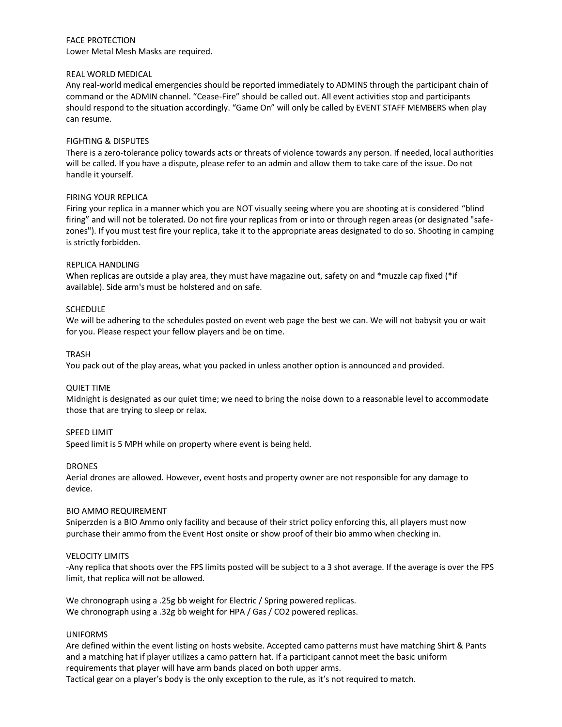### FACE PROTECTION Lower Metal Mesh Masks are required.

### REAL WORLD MEDICAL

Any real-world medical emergencies should be reported immediately to ADMINS through the participant chain of command or the ADMIN channel. "Cease-Fire" should be called out. All event activities stop and participants should respond to the situation accordingly. "Game On" will only be called by EVENT STAFF MEMBERS when play can resume.

### FIGHTING & DISPUTES

There is a zero-tolerance policy towards acts or threats of violence towards any person. If needed, local authorities will be called. If you have a dispute, please refer to an admin and allow them to take care of the issue. Do not handle it yourself.

### FIRING YOUR REPLICA

Firing your replica in a manner which you are NOT visually seeing where you are shooting at is considered "blind firing" and will not be tolerated. Do not fire your replicas from or into or through regen areas (or designated "safezones"). If you must test fire your replica, take it to the appropriate areas designated to do so. Shooting in camping is strictly forbidden.

### REPLICA HANDLING

When replicas are outside a play area, they must have magazine out, safety on and \*muzzle cap fixed (\*if available). Side arm's must be holstered and on safe.

### SCHEDULE

We will be adhering to the schedules posted on event web page the best we can. We will not babysit you or wait for you. Please respect your fellow players and be on time.

### TRASH

You pack out of the play areas, what you packed in unless another option is announced and provided.

### QUIET TIME

Midnight is designated as our quiet time; we need to bring the noise down to a reasonable level to accommodate those that are trying to sleep or relax.

### SPEED LIMIT

Speed limit is 5 MPH while on property where event is being held.

### DRONES

Aerial drones are allowed. However, event hosts and property owner are not responsible for any damage to device.

### BIO AMMO REQUIREMENT

Sniperzden is a BIO Ammo only facility and because of their strict policy enforcing this, all players must now purchase their ammo from the Event Host onsite or show proof of their bio ammo when checking in.

### VELOCITY LIMITS

-Any replica that shoots over the FPS limits posted will be subject to a 3 shot average. If the average is over the FPS limit, that replica will not be allowed.

We chronograph using a .25g bb weight for Electric / Spring powered replicas. We chronograph using a .32g bb weight for HPA / Gas / CO2 powered replicas.

### UNIFORMS

Are defined within the event listing on hosts website. Accepted camo patterns must have matching Shirt & Pants and a matching hat if player utilizes a camo pattern hat. If a participant cannot meet the basic uniform requirements that player will have arm bands placed on both upper arms.

Tactical gear on a player's body is the only exception to the rule, as it's not required to match.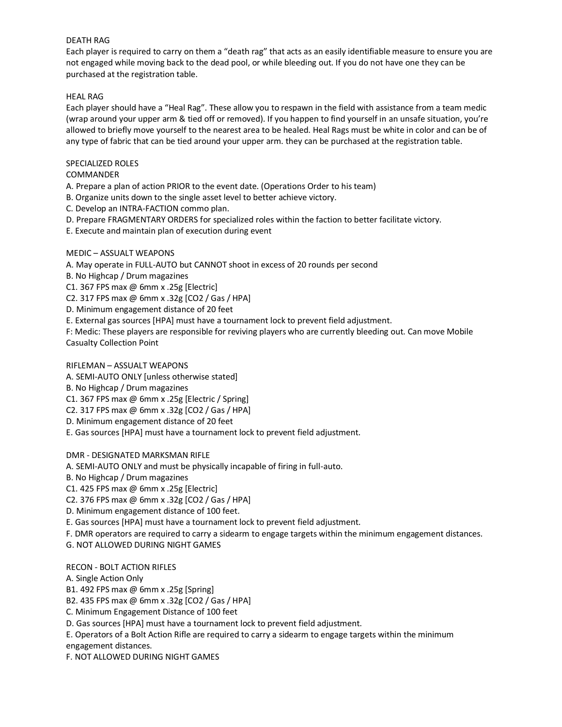### DEATH RAG

Each player is required to carry on them a "death rag" that acts as an easily identifiable measure to ensure you are not engaged while moving back to the dead pool, or while bleeding out. If you do not have one they can be purchased at the registration table.

# HEAL RAG

Each player should have a "Heal Rag". These allow you to respawn in the field with assistance from a team medic (wrap around your upper arm & tied off or removed). If you happen to find yourself in an unsafe situation, you're allowed to briefly move yourself to the nearest area to be healed. Heal Rags must be white in color and can be of any type of fabric that can be tied around your upper arm. they can be purchased at the registration table.

# SPECIALIZED ROLES

# COMMANDER

A. Prepare a plan of action PRIOR to the event date. (Operations Order to his team)

B. Organize units down to the single asset level to better achieve victory.

- C. Develop an INTRA-FACTION commo plan.
- D. Prepare FRAGMENTARY ORDERS for specialized roles within the faction to better facilitate victory.
- E. Execute and maintain plan of execution during event

# MEDIC – ASSUALT WEAPONS

A. May operate in FULL-AUTO but CANNOT shoot in excess of 20 rounds per second

B. No Highcap / Drum magazines

C1. 367 FPS max @ 6mm x .25g [Electric]

C2. 317 FPS max @ 6mm x .32g [CO2 / Gas / HPA]

D. Minimum engagement distance of 20 feet

E. External gas sources [HPA] must have a tournament lock to prevent field adjustment.

F: Medic: These players are responsible for reviving players who are currently bleeding out. Can move Mobile Casualty Collection Point

# RIFLEMAN – ASSUALT WEAPONS

A. SEMI-AUTO ONLY [unless otherwise stated]

B. No Highcap / Drum magazines

C1. 367 FPS max @ 6mm x .25g [Electric / Spring]

- C2. 317 FPS max @ 6mm x .32g [CO2 / Gas / HPA]
- D. Minimum engagement distance of 20 feet

E. Gas sources [HPA] must have a tournament lock to prevent field adjustment.

DMR - DESIGNATED MARKSMAN RIFLE

A. SEMI-AUTO ONLY and must be physically incapable of firing in full-auto.

B. No Highcap / Drum magazines

C1. 425 FPS max @ 6mm x .25g [Electric]

C2. 376 FPS max @ 6mm x .32g [CO2 / Gas / HPA]

D. Minimum engagement distance of 100 feet.

E. Gas sources [HPA] must have a tournament lock to prevent field adjustment.

F. DMR operators are required to carry a sidearm to engage targets within the minimum engagement distances.

G. NOT ALLOWED DURING NIGHT GAMES

RECON - BOLT ACTION RIFLES

A. Single Action Only

B1. 492 FPS max @ 6mm x .25g [Spring]

B2. 435 FPS max @ 6mm x .32g [CO2 / Gas / HPA]

C. Minimum Engagement Distance of 100 feet

D. Gas sources [HPA] must have a tournament lock to prevent field adjustment.

E. Operators of a Bolt Action Rifle are required to carry a sidearm to engage targets within the minimum

engagement distances.

F. NOT ALLOWED DURING NIGHT GAMES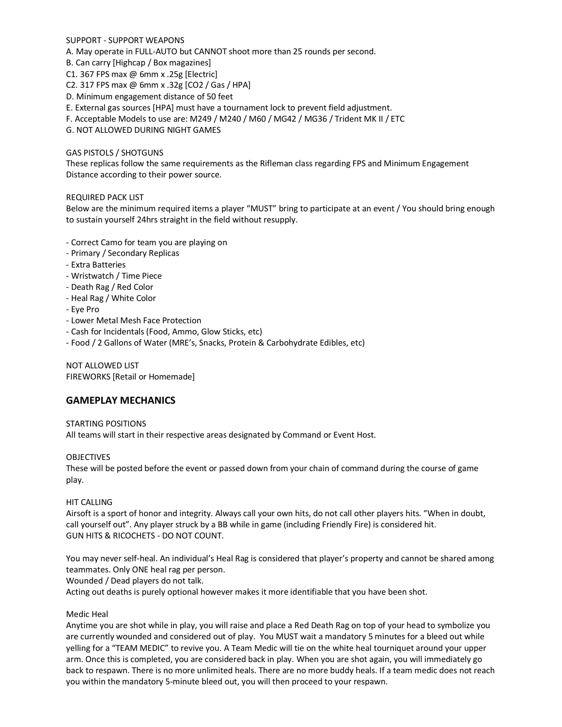SUPPORT - SUPPORT WEAPONS

A. May operate in FULL-AUTO but CANNOT shoot more than 25 rounds per second.

B. Can carry [Highcap / Box magazines]

C1. 367 FPS max @ 6mm x .25g [Electric]

C2. 317 FPS max @ 6mm x .32g [CO2 / Gas / HPA]

D. Minimum engagement distance of 50 feet

E. External gas sources [HPA] must have a tournament lock to prevent field adjustment.

F. Acceptable Models to use are: M249 / M240 / M60 / MG42 / MG36 / Trident MK II / ETC

G. NOT ALLOWED DURING NIGHT GAMES

### GAS PISTOLS / SHOTGUNS

These replicas follow the same requirements as the Rifleman class regarding FPS and Minimum Engagement Distance according to their power source.

REQUIRED PACK LIST

Below are the minimum required items a player "MUST" bring to participate at an event / You should bring enough to sustain yourself 24hrs straight in the field without resupply.

- Correct Camo for team you are playing on
- Primary / Secondary Replicas
- Extra Batteries
- Wristwatch / Time Piece
- Death Rag / Red Color
- Heal Rag / White Color
- Eye Pro
- Lower Metal Mesh Face Protection
- Cash for Incidentals (Food, Ammo, Glow Sticks, etc)
- Food / 2 Gallons of Water (MRE's, Snacks, Protein & Carbohydrate Edibles, etc)

NOT ALLOWED LIST FIREWORKS [Retail or Homemade]

### **GAMEPLAY MECHANICS**

### STARTING POSITIONS

All teams will start in their respective areas designated by Command or Event Host.

### **OBJECTIVES**

These will be posted before the event or passed down from your chain of command during the course of game play.

### HIT CALLING

Airsoft is a sport of honor and integrity. Always call your own hits, do not call other players hits. "When in doubt, call yourself out". Any player struck by a BB while in game (including Friendly Fire) is considered hit. GUN HITS & RICOCHETS - DO NOT COUNT.

You may never self-heal. An individual's Heal Rag is considered that player's property and cannot be shared among teammates. Only ONE heal rag per person.

Wounded / Dead players do not talk.

Acting out deaths is purely optional however makes it more identifiable that you have been shot.

### Medic Heal

Anytime you are shot while in play, you will raise and place a Red Death Rag on top of your head to symbolize you are currently wounded and considered out of play. You MUST wait a mandatory 5 minutes for a bleed out while yelling for a "TEAM MEDIC" to revive you. A Team Medic will tie on the white heal tourniquet around your upper arm. Once this is completed, you are considered back in play. When you are shot again, you will immediately go back to respawn. There is no more unlimited heals. There are no more buddy heals. If a team medic does not reach you within the mandatory 5-minute bleed out, you will then proceed to your respawn.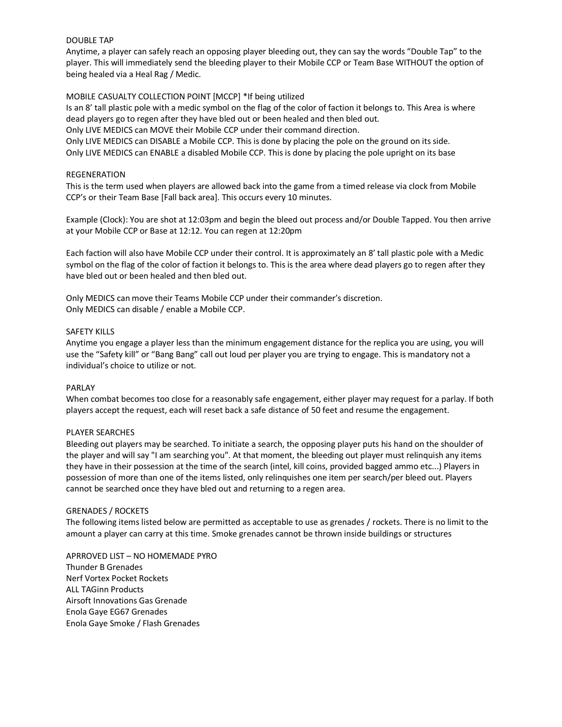### DOUBLE TAP

Anytime, a player can safely reach an opposing player bleeding out, they can say the words "Double Tap" to the player. This will immediately send the bleeding player to their Mobile CCP or Team Base WITHOUT the option of being healed via a Heal Rag / Medic.

### MOBILE CASUALTY COLLECTION POINT [MCCP] \*If being utilized

Is an 8' tall plastic pole with a medic symbol on the flag of the color of faction it belongs to. This Area is where dead players go to regen after they have bled out or been healed and then bled out.

Only LIVE MEDICS can MOVE their Mobile CCP under their command direction.

Only LIVE MEDICS can DISABLE a Mobile CCP. This is done by placing the pole on the ground on its side. Only LIVE MEDICS can ENABLE a disabled Mobile CCP. This is done by placing the pole upright on its base

### REGENERATION

This is the term used when players are allowed back into the game from a timed release via clock from Mobile CCP's or their Team Base [Fall back area]. This occurs every 10 minutes.

Example (Clock): You are shot at 12:03pm and begin the bleed out process and/or Double Tapped. You then arrive at your Mobile CCP or Base at 12:12. You can regen at 12:20pm

Each faction will also have Mobile CCP under their control. It is approximately an 8' tall plastic pole with a Medic symbol on the flag of the color of faction it belongs to. This is the area where dead players go to regen after they have bled out or been healed and then bled out.

Only MEDICS can move their Teams Mobile CCP under their commander's discretion. Only MEDICS can disable / enable a Mobile CCP.

### SAFETY KILLS

Anytime you engage a player less than the minimum engagement distance for the replica you are using, you will use the "Safety kill" or "Bang Bang" call out loud per player you are trying to engage. This is mandatory not a individual's choice to utilize or not.

### PARLAY

When combat becomes too close for a reasonably safe engagement, either player may request for a parlay. If both players accept the request, each will reset back a safe distance of 50 feet and resume the engagement.

### PLAYER SEARCHES

Bleeding out players may be searched. To initiate a search, the opposing player puts his hand on the shoulder of the player and will say "I am searching you". At that moment, the bleeding out player must relinquish any items they have in their possession at the time of the search (intel, kill coins, provided bagged ammo etc...) Players in possession of more than one of the items listed, only relinquishes one item per search/per bleed out. Players cannot be searched once they have bled out and returning to a regen area.

### GRENADES / ROCKETS

The following items listed below are permitted as acceptable to use as grenades / rockets. There is no limit to the amount a player can carry at this time. Smoke grenades cannot be thrown inside buildings or structures

APRROVED LIST – NO HOMEMADE PYRO Thunder B Grenades Nerf Vortex Pocket Rockets ALL TAGinn Products Airsoft Innovations Gas Grenade Enola Gaye EG67 Grenades Enola Gaye Smoke / Flash Grenades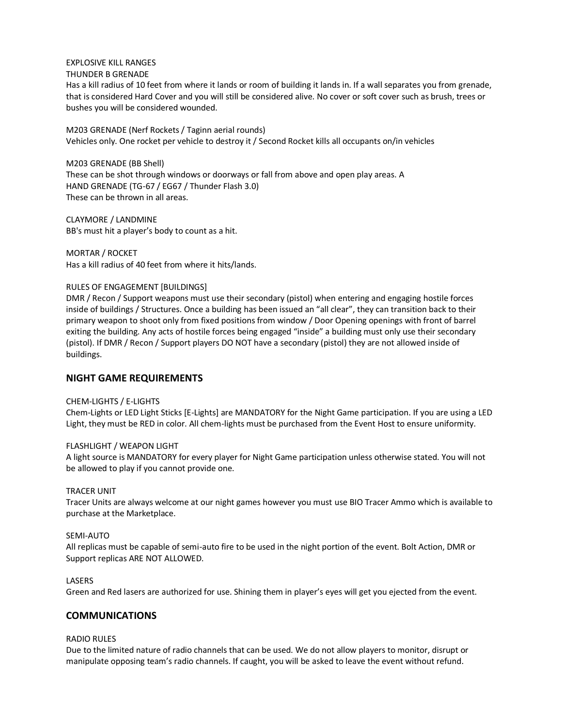# EXPLOSIVE KILL RANGES

# THUNDER B GRENADE

Has a kill radius of 10 feet from where it lands or room of building it lands in. If a wall separates you from grenade, that is considered Hard Cover and you will still be considered alive. No cover or soft cover such as brush, trees or bushes you will be considered wounded.

M203 GRENADE (Nerf Rockets / Taginn aerial rounds) Vehicles only. One rocket per vehicle to destroy it / Second Rocket kills all occupants on/in vehicles

M203 GRENADE (BB Shell) These can be shot through windows or doorways or fall from above and open play areas. A HAND GRENADE (TG-67 / EG67 / Thunder Flash 3.0) These can be thrown in all areas.

CLAYMORE / LANDMINE BB's must hit a player's body to count as a hit.

MORTAR / ROCKET Has a kill radius of 40 feet from where it hits/lands.

### RULES OF ENGAGEMENT [BUILDINGS]

DMR / Recon / Support weapons must use their secondary (pistol) when entering and engaging hostile forces inside of buildings / Structures. Once a building has been issued an "all clear", they can transition back to their primary weapon to shoot only from fixed positions from window / Door Opening openings with front of barrel exiting the building. Any acts of hostile forces being engaged "inside" a building must only use their secondary (pistol). If DMR / Recon / Support players DO NOT have a secondary (pistol) they are not allowed inside of buildings.

### **NIGHT GAME REQUIREMENTS**

### CHEM-LIGHTS / E-LIGHTS

Chem-Lights or LED Light Sticks [E-Lights] are MANDATORY for the Night Game participation. If you are using a LED Light, they must be RED in color. All chem-lights must be purchased from the Event Host to ensure uniformity.

### FLASHLIGHT / WEAPON LIGHT

A light source is MANDATORY for every player for Night Game participation unless otherwise stated. You will not be allowed to play if you cannot provide one.

### TRACER UNIT

Tracer Units are always welcome at our night games however you must use BIO Tracer Ammo which is available to purchase at the Marketplace.

### SEMI-AUTO

All replicas must be capable of semi-auto fire to be used in the night portion of the event. Bolt Action, DMR or Support replicas ARE NOT ALLOWED.

### **LASERS**

Green and Red lasers are authorized for use. Shining them in player's eyes will get you ejected from the event.

### **COMMUNICATIONS**

### RADIO RULES

Due to the limited nature of radio channels that can be used. We do not allow players to monitor, disrupt or manipulate opposing team's radio channels. If caught, you will be asked to leave the event without refund.